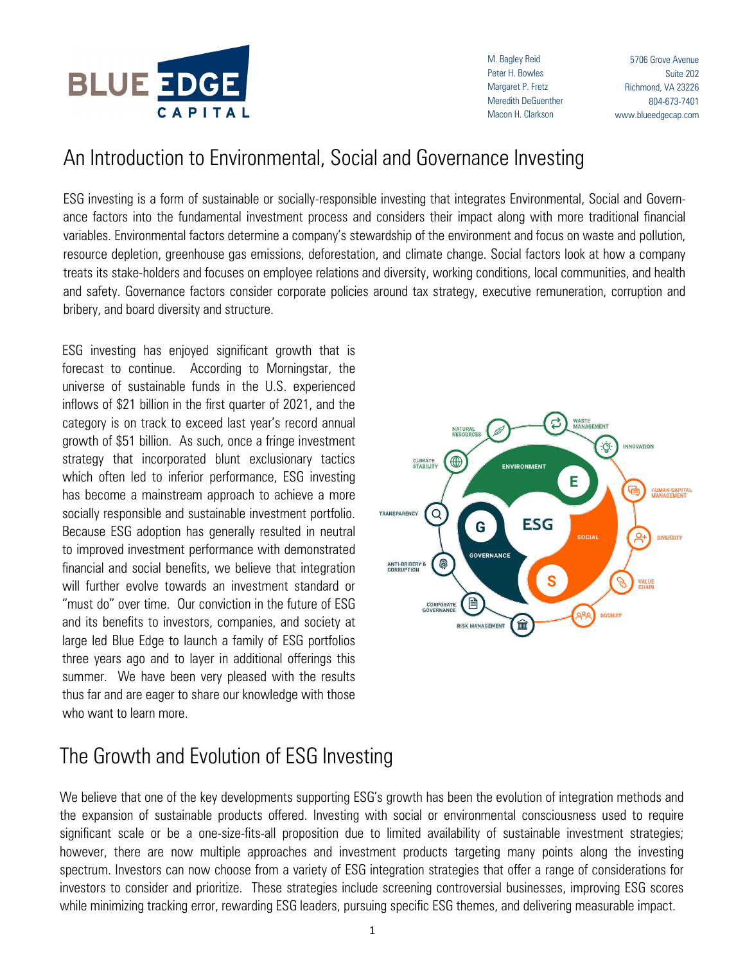

M. Bagley Reid Peter H. Bowles Margaret P. Fretz Meredith DeGuenther Macon H. Clarkson

5706 Grove Avenue Suite 202 Richmond, VA 23226 804-673-7401 www.blueedgecap.com

## An Introduction to Environmental, Social and Governance Investing

ESG investing is a form of sustainable or socially-responsible investing that integrates Environmental, Social and Governance factors into the fundamental investment process and considers their impact along with more traditional financial variables. Environmental factors determine a company's stewardship of the environment and focus on waste and pollution, resource depletion, greenhouse gas emissions, deforestation, and climate change. Social factors look at how a company treats its stake-holders and focuses on employee relations and diversity, working conditions, local communities, and health and safety. Governance factors consider corporate policies around tax strategy, executive remuneration, corruption and bribery, and board diversity and structure.

ESG investing has enjoyed significant growth that is forecast to continue. According to Morningstar, the universe of sustainable funds in the U.S. experienced inflows of \$21 billion in the first quarter of 2021, and the category is on track to exceed last year's record annual growth of \$51 billion. As such, once a fringe investment strategy that incorporated blunt exclusionary tactics which often led to inferior performance, ESG investing has become a mainstream approach to achieve a more socially responsible and sustainable investment portfolio. Because ESG adoption has generally resulted in neutral to improved investment performance with demonstrated financial and social benefits, we believe that integration will further evolve towards an investment standard or "must do" over time. Our conviction in the future of ESG and its benefits to investors, companies, and society at large led Blue Edge to launch a family of ESG portfolios three years ago and to layer in additional offerings this summer. We have been very pleased with the results thus far and are eager to share our knowledge with those who want to learn more.



## The Growth and Evolution of ESG Investing

We believe that one of the key developments supporting ESG's growth has been the evolution of integration methods and the expansion of sustainable products offered. Investing with social or environmental consciousness used to require significant scale or be a one-size-fits-all proposition due to limited availability of sustainable investment strategies; however, there are now multiple approaches and investment products targeting many points along the investing spectrum. Investors can now choose from a variety of ESG integration strategies that offer a range of considerations for investors to consider and prioritize. These strategies include screening controversial businesses, improving ESG scores while minimizing tracking error, rewarding ESG leaders, pursuing specific ESG themes, and delivering measurable impact.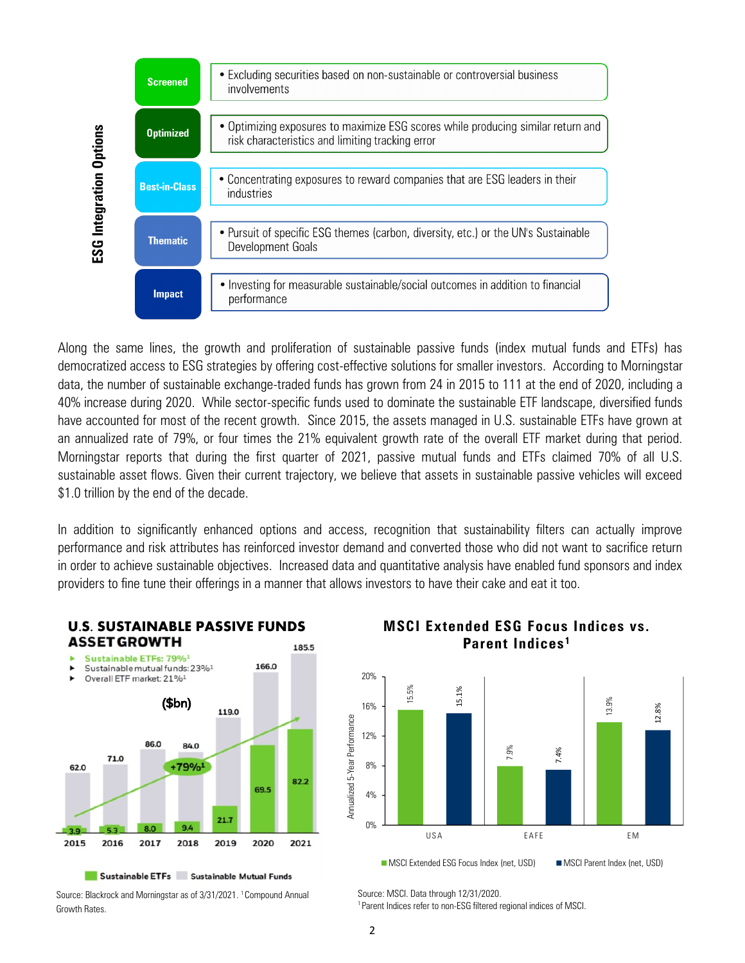

Along the same lines, the growth and proliferation of sustainable passive funds (index mutual funds and ETFs) has democratized access to ESG strategies by offering cost-effective solutions for smaller investors. According to Morningstar data, the number of sustainable exchange-traded funds has grown from 24 in 2015 to 111 at the end of 2020, including a 40% increase during 2020. While sector-specific funds used to dominate the sustainable ETF landscape, diversified funds have accounted for most of the recent growth. Since 2015, the assets managed in U.S. sustainable ETFs have grown at an annualized rate of 79%, or four times the 21% equivalent growth rate of the overall ETF market during that period. Morningstar reports that during the first quarter of 2021, passive mutual funds and ETFs claimed 70% of all U.S. sustainable asset flows. Given their current trajectory, we believe that assets in sustainable passive vehicles will exceed \$1.0 trillion by the end of the decade.

In addition to significantly enhanced options and access, recognition that sustainability filters can actually improve performance and risk attributes has reinforced investor demand and converted those who did not want to sacrifice return in order to achieve sustainable objectives. Increased data and quantitative analysis have enabled fund sponsors and index providers to fine tune their offerings in a manner that allows investors to have their cake and eat it too.



**U.S. SUSTAINABLE PASSIVE FUNDS**

**MSCI Extended ESG Focus Indices vs. Parent Indices <sup>1</sup>**



■ MSCI Extended ESG Focus Index (net, USD) ■ MSCI Parent Index (net, USD)

Source: Blackrock and Morningstar as of 3/31/2021. <sup>1</sup>Compound Annual

Growth Rates.

Source: MSCI. Data through 12/31/2020.

<sup>1</sup>Parent Indices refer to non-ESG filtered regional indices of MSCI.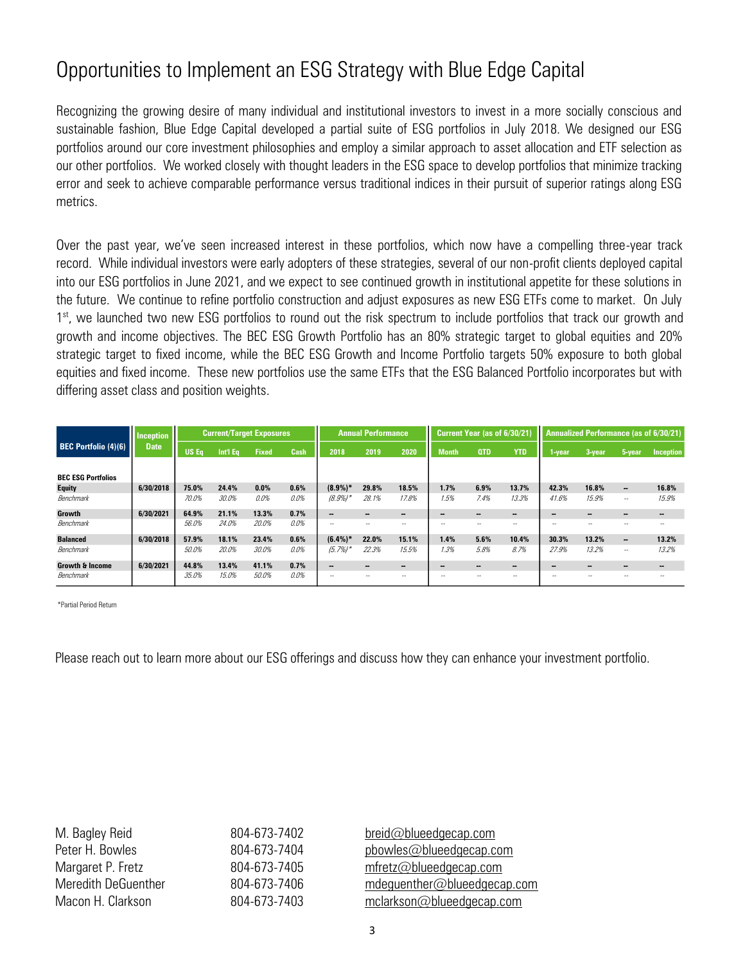## Opportunities to Implement an ESG Strategy with Blue Edge Capital

Recognizing the growing desire of many individual and institutional investors to invest in a more socially conscious and sustainable fashion, Blue Edge Capital developed a partial suite of ESG portfolios in July 2018. We designed our ESG portfolios around our core investment philosophies and employ a similar approach to asset allocation and ETF selection as our other portfolios. We worked closely with thought leaders in the ESG space to develop portfolios that minimize tracking error and seek to achieve comparable performance versus traditional indices in their pursuit of superior ratings along ESG metrics.

Over the past year, we've seen increased interest in these portfolios, which now have a compelling three-year track record. While individual investors were early adopters of these strategies, several of our non-profit clients deployed capital into our ESG portfolios in June 2021, and we expect to see continued growth in institutional appetite for these solutions in the future. We continue to refine portfolio construction and adjust exposures as new ESG ETFs come to market. On July 1<sup>st</sup>, we launched two new ESG portfolios to round out the risk spectrum to include portfolios that track our growth and growth and income objectives. The BEC ESG Growth Portfolio has an 80% strategic target to global equities and 20% strategic target to fixed income, while the BEC ESG Growth and Income Portfolio targets 50% exposure to both global equities and fixed income. These new portfolios use the same ETFs that the ESG Balanced Portfolio incorporates but with differing asset class and position weights.

|                             | <b>Inception</b><br><b>Date</b> | <b>Current/Target Exposures</b> |          |              |      | <b>Annual Performance</b> |       |                          | Current Year (as of 6/30/21) |            |                | Annualized Performance (as of 6/30/21) |        |                          |                |
|-----------------------------|---------------------------------|---------------------------------|----------|--------------|------|---------------------------|-------|--------------------------|------------------------------|------------|----------------|----------------------------------------|--------|--------------------------|----------------|
| <b>BEC Portfolio (4)(6)</b> |                                 | <b>US Eq</b>                    | Int'l Ea | <b>Fixed</b> | Cash | 2018                      | 2019  | 2020                     | <b>Month</b>                 | <b>QTD</b> | <b>YTD</b>     | l-vear                                 | 3-year | 5-year                   | Inception      |
|                             |                                 |                                 |          |              |      |                           |       |                          |                              |            |                |                                        |        |                          |                |
| <b>BEC ESG Portfolios</b>   |                                 |                                 |          |              |      |                           |       |                          |                              |            |                |                                        |        |                          |                |
| <b>Equity</b>               | 6/30/2018                       | 75.0%                           | 24.4%    | 0.0%         | 0.6% | $(8.9\%)*$                | 29.8% | 18.5%                    | 1.7%                         | 6.9%       | 13.7%          | 42.3%                                  | 16.8%  | $\overline{\phantom{a}}$ | 16.8%          |
| Benchmark                   |                                 | 70.0%                           | 30.0%    | 0.0%         | 0.0% | $(8.9\%)$                 | 28.1% | 17.8%                    | 1.5%                         | 7.4%       | 13.3%          | 41.6%                                  | 15.9%  | $\sim$                   | 15.9%          |
| Growth                      | 6/30/2021                       | 64.9%                           | 21.1%    | 13.3%        | 0.7% | --                        | --    | --                       |                              | --         | $\blacksquare$ | --                                     |        | -                        | $\blacksquare$ |
| Benchmark                   |                                 | 56.0%                           | 24.0%    | 20.0%        | 0.0% | $\overline{\phantom{a}}$  | $-$   | $-$                      | --                           | $ \sim$    | --             | --                                     | --     | --                       | --             |
| <b>Balanced</b>             | 6/30/2018                       | 57.9%                           | 18.1%    | 23.4%        | 0.6% | $(6.4\%)*$                | 22.0% | 15.1%                    | 1.4%                         | 5.6%       | 10.4%          | 30.3%                                  | 13.2%  | $\overline{\phantom{a}}$ | 13.2%          |
| Benchmark                   |                                 | 50.0%                           | 20.0%    | 30.0%        | 0.0% | (5.7%)                    | 22.3% | 15.5%                    | 1.3%                         | 5.8%       | 8.7%           | 27.9%                                  | 13.2%  | $\overline{\phantom{a}}$ | 13.2%          |
| <b>Growth &amp; Income</b>  | 6/30/2021                       | 44.8%                           | 13.4%    | 41.1%        | 0.7% | $\blacksquare$            | --    | $\overline{\phantom{a}}$ | --                           | --         | -              | --                                     | --     | -                        | $\sim$         |
| Benchmark                   |                                 | 35.0%                           | 15.0%    | 50.0%        | 0.0% | $\sim$                    | --    | $-$                      | $-$                          | $ \sim$    | $ -$           | --                                     | --     | $\overline{\phantom{m}}$ | --             |

\*Partial Period Return

Please reach out to learn more about our ESG offerings and discuss how they can enhance your investment portfolio.

| M. Bagley Reid             |  |  |  |  |  |
|----------------------------|--|--|--|--|--|
| Peter H. Bowles            |  |  |  |  |  |
| Margaret P. Fretz          |  |  |  |  |  |
| <b>Meredith DeGuenther</b> |  |  |  |  |  |
| Macon H. Clarkson          |  |  |  |  |  |

 $804-673-7402$  breid@blueedgecap.com  $804-673-7404$  pbowles @blueedgecap.com  $804-673-7405$  mfretz@blueedgecap.com 804-673-7406 mdeguenther@blueedgecap.com 804-673-7403 mclarkson@blueedgecap.com